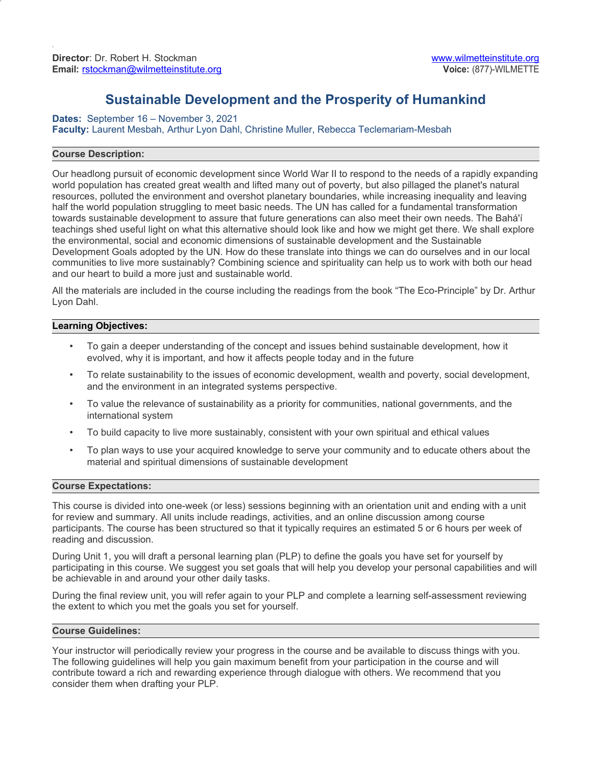# **Sustainable Development and the Prosperity of Humankind**

**Dates:** September 16 – November 3, 2021 **Faculty:** Laurent Mesbah, Arthur Lyon Dahl, Christine Muller, Rebecca Teclemariam-Mesbah

## **Course Description:**

Our headlong pursuit of economic development since World War II to respond to the needs of a rapidly expanding world population has created great wealth and lifted many out of poverty, but also pillaged the planet's natural resources, polluted the environment and overshot planetary boundaries, while increasing inequality and leaving half the world population struggling to meet basic needs. The UN has called for a fundamental transformation towards sustainable development to assure that future generations can also meet their own needs. The Bahá'í teachings shed useful light on what this alternative should look like and how we might get there. We shall explore the environmental, social and economic dimensions of sustainable development and the Sustainable Development Goals adopted by the UN. How do these translate into things we can do ourselves and in our local communities to live more sustainably? Combining science and spirituality can help us to work with both our head and our heart to build a more just and sustainable world.

All the materials are included in the course including the readings from the book "The Eco-Principle" by Dr. Arthur Lyon Dahl.

### **Learning Objectives:**

- To gain a deeper understanding of the concept and issues behind sustainable development, how it evolved, why it is important, and how it affects people today and in the future
- To relate sustainability to the issues of economic development, wealth and poverty, social development, and the environment in an integrated systems perspective.
- To value the relevance of sustainability as a priority for communities, national governments, and the international system
- To build capacity to live more sustainably, consistent with your own spiritual and ethical values
- To plan ways to use your acquired knowledge to serve your community and to educate others about the material and spiritual dimensions of sustainable development

### **Course Expectations:**

This course is divided into one-week (or less) sessions beginning with an orientation unit and ending with a unit for review and summary. All units include readings, activities, and an online discussion among course participants. The course has been structured so that it typically requires an estimated 5 or 6 hours per week of reading and discussion.

During Unit 1, you will draft a personal learning plan (PLP) to define the goals you have set for yourself by participating in this course. We suggest you set goals that will help you develop your personal capabilities and will be achievable in and around your other daily tasks.

During the final review unit, you will refer again to your PLP and complete a learning self-assessment reviewing the extent to which you met the goals you set for yourself.

### **Course Guidelines:**

Your instructor will periodically review your progress in the course and be available to discuss things with you. The following guidelines will help you gain maximum benefit from your participation in the course and will contribute toward a rich and rewarding experience through dialogue with others. We recommend that you consider them when drafting your PLP.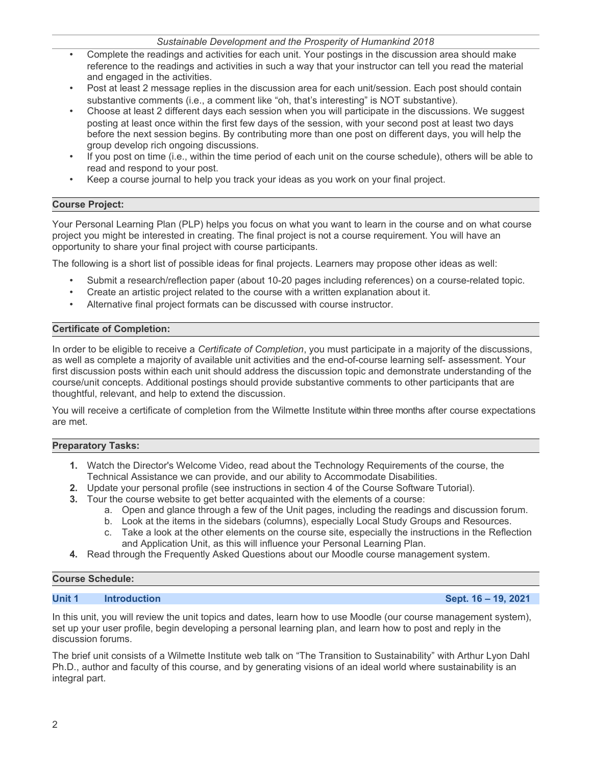2

# *Sustainable Development and the Prosperity of Humankind 2018*

- Complete the readings and activities for each unit. Your postings in the discussion area should make reference to the readings and activities in such a way that your instructor can tell you read the material and engaged in the activities.
- Post at least 2 message replies in the discussion area for each unit/session. Each post should contain substantive comments (i.e., a comment like "oh, that's interesting" is NOT substantive).
- Choose at least 2 different days each session when you will participate in the discussions. We suggest posting at least once within the first few days of the session, with your second post at least two days before the next session begins. By contributing more than one post on different days, you will help the group develop rich ongoing discussions.
- If you post on time (i.e., within the time period of each unit on the course schedule), others will be able to read and respond to your post.
- Keep a course journal to help you track your ideas as you work on your final project.

# **Course Project:**

Your Personal Learning Plan (PLP) helps you focus on what you want to learn in the course and on what course project you might be interested in creating. The final project is not a course requirement. You will have an opportunity to share your final project with course participants.

The following is a short list of possible ideas for final projects. Learners may propose other ideas as well:

- Submit a research/reflection paper (about 10-20 pages including references) on a course-related topic.
- Create an artistic project related to the course with a written explanation about it.
- Alternative final project formats can be discussed with course instructor.

## **Certificate of Completion:**

In order to be eligible to receive a *Certificate of Completion*, you must participate in a majority of the discussions, as well as complete a majority of available unit activities and the end-of-course learning self- assessment. Your first discussion posts within each unit should address the discussion topic and demonstrate understanding of the course/unit concepts. Additional postings should provide substantive comments to other participants that are thoughtful, relevant, and help to extend the discussion.

You will receive a certificate of completion from the Wilmette Institute within three months after course expectations are met.

## **Preparatory Tasks:**

- **1.** Watch the Director's Welcome Video, read about the Technology Requirements of the course, the Technical Assistance we can provide, and our ability to Accommodate Disabilities.
- **2.** Update your personal profile (see instructions in section 4 of the Course Software Tutorial).
- **3.** Tour the course website to get better acquainted with the elements of a course:
	- a. Open and glance through a few of the Unit pages, including the readings and discussion forum.
	- b. Look at the items in the sidebars (columns), especially Local Study Groups and Resources.
	- c. Take a look at the other elements on the course site, especially the instructions in the Reflection and Application Unit, as this will influence your Personal Learning Plan.
- **4.** Read through the Frequently Asked Questions about our Moodle course management system.

## **Course Schedule:**

## **Unit 1 Introduction Sept. 16 – 19, 2021**

In this unit, you will review the unit topics and dates, learn how to use Moodle (our course management system), set up your user profile, begin developing a personal learning plan, and learn how to post and reply in the discussion forums.

The brief unit consists of a Wilmette Institute web talk on "The Transition to Sustainability" with Arthur Lyon Dahl Ph.D., author and faculty of this course, and by generating visions of an ideal world where sustainability is an integral part.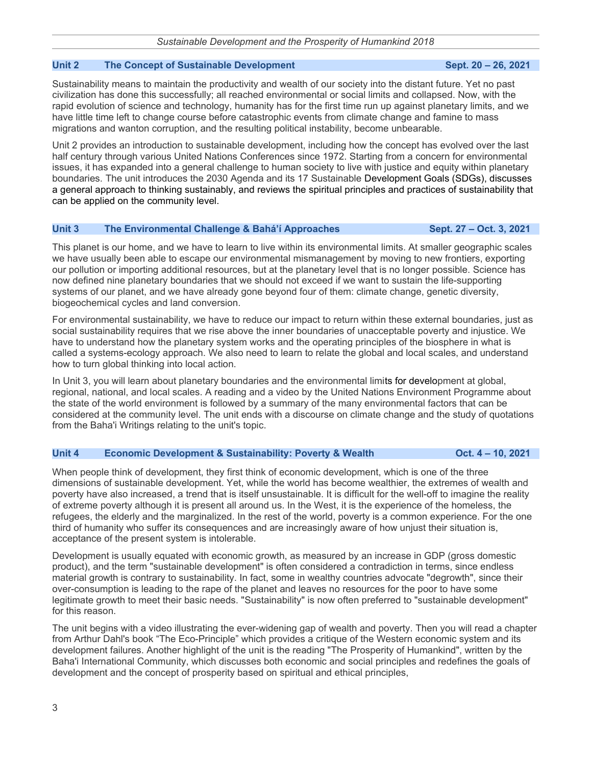## **Unit 2** The Concept of Sustainable Development Sept. 20 – 26, 2021

Sustainability means to maintain the productivity and wealth of our society into the distant future. Yet no past civilization has done this successfully; all reached environmental or social limits and collapsed. Now, with the rapid evolution of science and technology, humanity has for the first time run up against planetary limits, and we have little time left to change course before catastrophic events from climate change and famine to mass migrations and wanton corruption, and the resulting political instability, become unbearable.

Unit 2 provides an introduction to sustainable development, including how the concept has evolved over the last half century through various United Nations Conferences since 1972. Starting from a concern for environmental issues, it has expanded into a general challenge to human society to live with justice and equity within planetary boundaries. The unit introduces the 2030 Agenda and its 17 Sustainable Development Goals (SDGs), discusses a general approach to thinking sustainably, and reviews the spiritual principles and practices of sustainability that can be applied on the community level.

## **Unit 3 The Environmental Challenge & Bahá'í Approaches Sept. 27 – Oct. 3, 2021**

This planet is our home, and we have to learn to live within its environmental limits. At smaller geographic scales we have usually been able to escape our environmental mismanagement by moving to new frontiers, exporting our pollution or importing additional resources, but at the planetary level that is no longer possible. Science has now defined nine planetary boundaries that we should not exceed if we want to sustain the life-supporting systems of our planet, and we have already gone beyond four of them: climate change, genetic diversity, biogeochemical cycles and land conversion.

For environmental sustainability, we have to reduce our impact to return within these external boundaries, just as social sustainability requires that we rise above the inner boundaries of unacceptable poverty and injustice. We have to understand how the planetary system works and the operating principles of the biosphere in what is called a systems-ecology approach. We also need to learn to relate the global and local scales, and understand how to turn global thinking into local action.

In Unit 3, you will learn about planetary boundaries and the environmental limits for development at global, regional, national, and local scales. A reading and a video by the United Nations Environment Programme about the state of the world environment is followed by a summary of the many environmental factors that can be considered at the community level. The unit ends with a discourse on climate change and the study of quotations from the Baha'i Writings relating to the unit's topic.

### **Unit 4 Economic Development & Sustainability: Poverty & Wealth Oct. 4 – 10, 2021**

When people think of development, they first think of economic development, which is one of the three dimensions of sustainable development. Yet, while the world has become wealthier, the extremes of wealth and poverty have also increased, a trend that is itself unsustainable. It is difficult for the well-off to imagine the reality of extreme poverty although it is present all around us. In the West, it is the experience of the homeless, the refugees, the elderly and the marginalized. In the rest of the world, poverty is a common experience. For the one third of humanity who suffer its consequences and are increasingly aware of how unjust their situation is, acceptance of the present system is intolerable.

Development is usually equated with economic growth, as measured by an increase in GDP (gross domestic product), and the term "sustainable development" is often considered a contradiction in terms, since endless material growth is contrary to sustainability. In fact, some in wealthy countries advocate "degrowth", since their over-consumption is leading to the rape of the planet and leaves no resources for the poor to have some legitimate growth to meet their basic needs. "Sustainability" is now often preferred to "sustainable development" for this reason.

The unit begins with a video illustrating the ever-widening gap of wealth and poverty. Then you will read a chapter from Arthur Dahl's book "The Eco-Principle" which provides a critique of the Western economic system and its development failures. Another highlight of the unit is the reading "The Prosperity of Humankind", written by the Baha'i International Community, which discusses both economic and social principles and redefines the goals of development and the concept of prosperity based on spiritual and ethical principles,